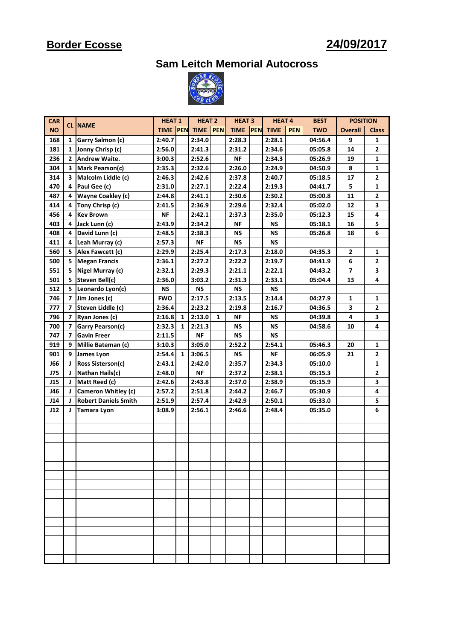## **Border Ecosse**

### **24/09/2017**

**Sam Leitch Memorial Autocross**



| <b>CAR</b> |              |                             | <b>HEAT1</b> |              | <b>HEAT 2</b> |            | <b>HEAT 3</b> |            | <b>HEAT4</b> |            | <b>POSITION</b><br><b>BEST</b> |                |                |
|------------|--------------|-----------------------------|--------------|--------------|---------------|------------|---------------|------------|--------------|------------|--------------------------------|----------------|----------------|
| <b>NO</b>  |              | <b>CL INAME</b>             | <b>TIME</b>  | PEN          | <b>TIME</b>   | <b>PEN</b> | <b>TIME</b>   | <b>PEN</b> | <b>TIME</b>  | <b>PEN</b> | <b>TWO</b>                     | <b>Overall</b> | <b>Class</b>   |
| 168        | 1            | Garry Salmon (c)            | 2:40.7       |              | 2:34.0        |            | 2:28.3        |            | 2:28.1       |            | 04:56.4                        | 9              | 1              |
| 181        | 1            | Jonny Chrisp (c)            | 2:56.0       |              | 2:41.3        |            | 2:31.2        |            | 2:34.6       |            | 05:05.8                        | 14             | $\overline{2}$ |
| 236        | $\mathbf{2}$ | <b>Andrew Waite.</b>        | 3:00.3       |              | 2:52.6        |            | <b>NF</b>     |            | 2:34.3       |            | 05:26.9                        | 19             | 1              |
| 304        | 3            | Mark Pearson(c)             | 2:35.3       |              | 2:32.6        |            | 2:26.0        |            | 2:24.9       |            | 04:50.9                        | 8              | 1              |
| 314        | 3            | Malcolm Liddle (c)          | 2:46.3       |              | 2:42.6        |            | 2:37.8        |            | 2:40.7       |            | 05:18.5                        | 17             | $\overline{2}$ |
| 470        | 4            | Paul Gee (c)                | 2:31.0       |              | 2:27.1        |            | 2:22.4        |            | 2:19.3       |            | 04:41.7                        | 5              | $\mathbf{1}$   |
| 487        | 4            | Wayne Coakley (c)           | 2:44.8       |              | 2:41.1        |            | 2:30.6        |            | 2:30.2       |            | 05:00.8                        | 11             | $\overline{2}$ |
| 414        | 4            | Tony Chrisp (c)             | 2:41.5       |              | 2:36.9        |            | 2:29.6        |            | 2:32.4       |            | 05:02.0                        | 12             | 3              |
| 456        | 4            | <b>Kev Brown</b>            | <b>NF</b>    |              | 2:42.1        |            | 2:37.3        |            | 2:35.0       |            | 05:12.3                        | 15             | 4              |
| 403        | 4            | Jack Lunn (c)               | 2:43.9       |              | 2:34.2        |            | ΝF            |            | NS           |            | 05:18.1                        | 16             | 5              |
| 408        | 4            | David Lunn (c)              | 2:48.5       |              | 2:38.3        |            | NS            |            | <b>NS</b>    |            | 05:26.8                        | 18             | 6              |
| 411        | 4            | Leah Murray (c)             | 2:57.3       |              | <b>NF</b>     |            | <b>NS</b>     |            | <b>NS</b>    |            |                                |                |                |
| 560        | 5            | Alex Fawcett (c)            | 2:29.9       |              | 2:25.4        |            | 2:17.3        |            | 2:18.0       |            | 04:35.3                        | $\mathbf{z}$   | 1              |
| 500        | 5            | <b>Megan Francis</b>        | 2:36.1       |              | 2:27.2        |            | 2:22.2        |            | 2:19.7       |            | 04:41.9                        | 6              | 2              |
| 551        | 5            | Nigel Murray (c)            | 2:32.1       |              | 2:29.3        |            | 2:21.1        |            | 2:22.1       |            | 04:43.2                        | $\overline{ }$ | 3              |
| 501        | 5            | Steven Bell(c)              | 2:36.0       |              | 3:03.2        |            | 2:31.3        |            | 2:33.1       |            | 05:04.4                        | 13             | 4              |
| 512        | 5            | Leonardo Lyon(c)            | ΝS           |              | <b>NS</b>     |            | <b>NS</b>     |            | NS           |            |                                |                |                |
| 746        | 7            | Jim Jones (c)               | <b>FWO</b>   |              | 2:17.5        |            | 2:13.5        |            | 2:14.4       |            | 04:27.9                        | 1              | 1              |
| 777        | 7            | Steven Liddle (c)           | 2:36.4       |              | 2:23.2        |            | 2:19.8        |            | 2:16.7       |            | 04:36.5                        | 3              | 2              |
| 796        | 7            | Ryan Jones (c)              | 2:16.8       | 1            | 2:13.0        | 1          | <b>NF</b>     |            | NS           |            | 04:39.8                        | 4              | 3              |
| 700        | 7            | Garry Pearson(c)            | 2:32.3       | $\mathbf{1}$ | 2:21.3        |            | <b>NS</b>     |            | <b>NS</b>    |            | 04:58.6                        | 10             | 4              |
| 747        | 7            | <b>Gavin Freer</b>          | 2:11.5       |              | <b>NF</b>     |            | NS            |            | <b>NS</b>    |            |                                |                |                |
| 919        | 9            | Millie Bateman (c)          | 3:10.3       |              | 3:05.0        |            | 2:52.2        |            | 2:54.1       |            | 05:46.3                        | 20             | 1              |
| 901        | 9            | James Lyon                  | 2:54.4       | $\mathbf{1}$ | 3:06.5        |            | <b>NS</b>     |            | <b>NF</b>    |            | 06:05.9                        | 21             | $\overline{2}$ |
| <b>J66</b> |              | Ross Sisterson(c)           | 2:43.1       |              | 2:42.0        |            | 2:35.7        |            | 2:34.3       |            | 05:10.0                        |                | $\mathbf{1}$   |
| <b>J75</b> | J            | Nathan Hails(c)             | 2:48.0       |              | <b>NF</b>     |            | 2:37.2        |            | 2:38.1       |            | 05:15.3                        |                | 2              |
| J15        | J            | Matt Reed (c)               | 2:42.6       |              | 2:43.8        |            | 2:37.0        |            | 2:38.9       |            | 05:15.9                        |                | 3              |
| J46        | J            | Cameron Whitley (c)         | 2:57.2       |              | 2:51.8        |            | 2:44.2        |            | 2:46.7       |            | 05:30.9                        |                | 4              |
| J14        | J            | <b>Robert Daniels Smith</b> | 2:51.9       |              | 2:57.4        |            | 2:42.9        |            | 2:50.1       |            | 05:33.0                        |                | 5              |
| J12        | J            | Tamara Lyon                 | 3:08.9       |              | 2:56.1        |            | 2:46.6        |            | 2:48.4       |            | 05:35.0                        |                | 6              |
|            |              |                             |              |              |               |            |               |            |              |            |                                |                |                |
|            |              |                             |              |              |               |            |               |            |              |            |                                |                |                |
|            |              |                             |              |              |               |            |               |            |              |            |                                |                |                |
|            |              |                             |              |              |               |            |               |            |              |            |                                |                |                |
|            |              |                             |              |              |               |            |               |            |              |            |                                |                |                |
|            |              |                             |              |              |               |            |               |            |              |            |                                |                |                |
|            |              |                             |              |              |               |            |               |            |              |            |                                |                |                |
|            |              |                             |              |              |               |            |               |            |              |            |                                |                |                |
|            |              |                             |              |              |               |            |               |            |              |            |                                |                |                |
|            |              |                             |              |              |               |            |               |            |              |            |                                |                |                |
|            |              |                             |              |              |               |            |               |            |              |            |                                |                |                |
|            |              |                             |              |              |               |            |               |            |              |            |                                |                |                |
|            |              |                             |              |              |               |            |               |            |              |            |                                |                |                |
|            |              |                             |              |              |               |            |               |            |              |            |                                |                |                |
|            |              |                             |              |              |               |            |               |            |              |            |                                |                |                |
|            |              |                             |              |              |               |            |               |            |              |            |                                |                |                |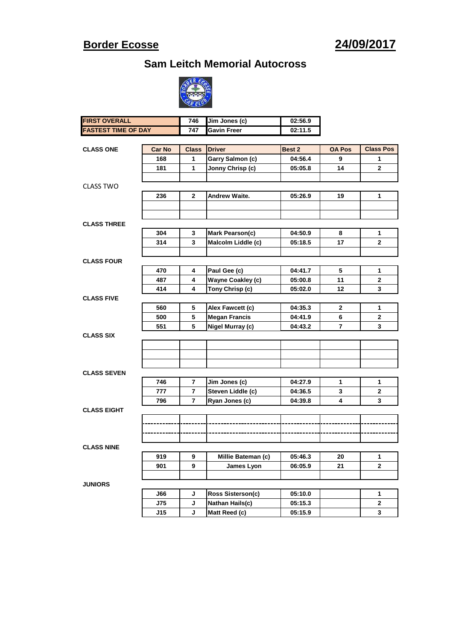#### **Border Ecosse**

**Sam Leitch Memorial Autocross**



| <b>FIRST OVERALL</b>              |     | 746            | Jim Jones (c)            | 02:56.9 |               |                   |
|-----------------------------------|-----|----------------|--------------------------|---------|---------------|-------------------|
| <b>FASTEST TIME OF DAY</b>        |     | 747            | <b>Gavin Freer</b>       | 02:11.5 |               |                   |
|                                   |     |                |                          |         |               |                   |
| <b>Car No</b><br><b>CLASS ONE</b> |     | <b>Class</b>   | <b>Driver</b>            | Best 2  | <b>OA Pos</b> | <b>Class Pos</b>  |
|                                   | 168 | 1              | Garry Salmon (c)         | 04:56.4 | 9             | 1                 |
|                                   | 181 | 1              | Jonny Chrisp (c)         | 05:05.8 | 14            | $\mathbf{2}$      |
|                                   |     |                |                          |         |               |                   |
| <b>CLASS TWO</b>                  |     |                |                          |         |               |                   |
|                                   | 236 | $\mathbf{2}$   | Andrew Waite.            | 05:26.9 | 19            | 1                 |
|                                   |     |                |                          |         |               |                   |
|                                   |     |                |                          |         |               |                   |
| <b>CLASS THREE</b>                |     |                |                          |         |               |                   |
|                                   | 304 | 3              | Mark Pearson(c)          | 04:50.9 | 8             | 1                 |
|                                   | 314 | 3              | Malcolm Liddle (c)       | 05:18.5 | 17            | $\mathbf{2}$      |
|                                   |     |                |                          |         |               |                   |
| <b>CLASS FOUR</b>                 |     |                |                          |         |               |                   |
|                                   | 470 | 4              | Paul Gee (c)             | 04:41.7 | 5             | 1                 |
|                                   | 487 | 4              | <b>Wayne Coakley (c)</b> | 05:00.8 | 11            | 2                 |
|                                   | 414 | 4              | Tony Chrisp (c)          | 05:02.0 | 12            | 3                 |
| <b>CLASS FIVE</b>                 |     |                |                          |         |               |                   |
|                                   | 560 | 5              | Alex Fawcett (c)         | 04:35.3 | $\mathbf{2}$  | 1                 |
|                                   | 500 | 5              | <b>Megan Francis</b>     | 04:41.9 | 6             | 2                 |
|                                   | 551 | 5              | Nigel Murray (c)         | 04:43.2 | 7             | 3                 |
| <b>CLASS SIX</b>                  |     |                |                          |         |               |                   |
|                                   |     |                |                          |         |               |                   |
|                                   |     |                |                          |         |               |                   |
|                                   |     |                |                          |         |               |                   |
| <b>CLASS SEVEN</b>                |     |                |                          |         |               |                   |
|                                   | 746 | $\overline{7}$ | Jim Jones (c)            | 04:27.9 | 1             | 1                 |
|                                   | 777 | 7              | Steven Liddle (c)        | 04:36.5 | 3             | $\mathbf{2}$      |
|                                   | 796 | 7              | Ryan Jones (c)           | 04:39.8 | 4             | 3                 |
| <b>CLASS EIGHT</b>                |     |                |                          |         |               |                   |
|                                   |     |                |                          |         |               |                   |
|                                   |     |                |                          |         |               |                   |
|                                   |     |                |                          |         |               |                   |
| <b>CLASS NINE</b>                 |     |                |                          |         |               |                   |
|                                   |     |                | Millie Bateman (c)       | 05:46.3 |               |                   |
|                                   | 919 | 9<br>9         |                          |         | 20            | 1<br>$\mathbf{2}$ |
|                                   | 901 |                | James Lyon               | 06:05.9 | 21            |                   |
|                                   |     |                |                          |         |               |                   |
| <b>JUNIORS</b>                    |     |                |                          |         |               |                   |
|                                   | J66 | J              | <b>Ross Sisterson(c)</b> | 05:10.0 |               | 1                 |
|                                   | J75 | J              | Nathan Hails(c)          | 05:15.3 |               | $\mathbf 2$       |
|                                   | J15 | J              | Matt Reed (c)            | 05:15.9 |               | $\mathbf{3}$      |